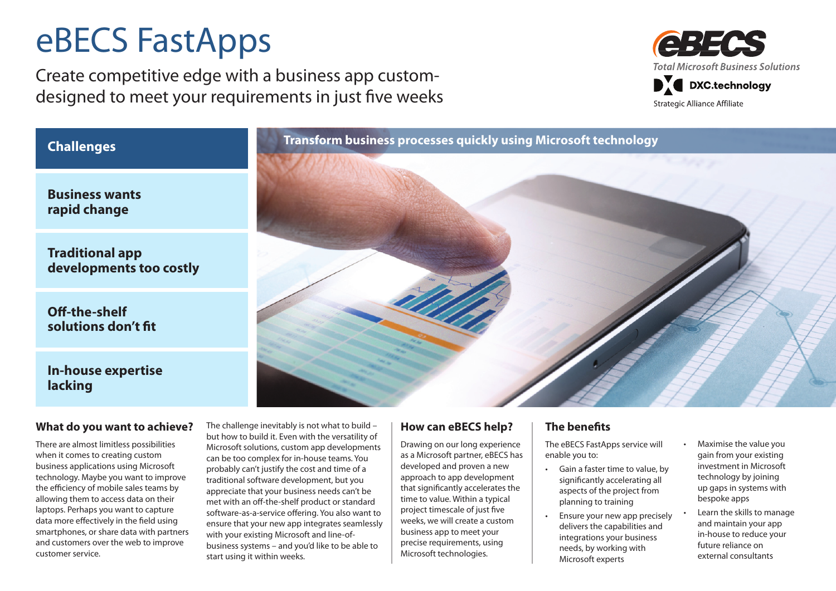# eBECS FastApps

Create competitive edge with a business app customdesigned to meet your requirements in just five weeks



**Business wants rapid change**

**Traditional app developments too costly**

**Off-the-shelf solutions don't fit**

### **In-house expertise lacking**

#### **What do you want to achieve?**

There are almost limitless possibilities when it comes to creating custom business applications using Microsoft technology. Maybe you want to improve the efficiency of mobile sales teams by allowing them to access data on their laptops. Perhaps you want to capture data more effectively in the field using smartphones, or share data with partners and customers over the web to improve customer service.

The challenge inevitably is not what to build – but how to build it. Even with the versatility of Microsoft solutions, custom app developments can be too complex for in-house teams. You probably can't justify the cost and time of a traditional software development, but you appreciate that your business needs can't be met with an off-the-shelf product or standard software-as-a-service offering. You also want to ensure that your new app integrates seamlessly with your existing Microsoft and line-ofbusiness systems – and you'd like to be able to start using it within weeks.

#### **How can eBECS help?**

Drawing on our long experience as a Microsoft partner, eBECS has developed and proven a new approach to app development that significantly accelerates the time to value. Within a typical project timescale of just five weeks, we will create a custom business app to meet your precise requirements, using Microsoft technologies.

#### **The benefits**

The eBECS FastApps service will enable you to:

- • Gain a faster time to value, by significantly accelerating all aspects of the project from planning to training
- Ensure your new app precisely delivers the capabilities and integrations your business needs, by working with Microsoft experts
- Maximise the value you gain from your existing investment in Microsoft technology by joining up gaps in systems with bespoke apps
- Learn the skills to manage and maintain your app in-house to reduce your future reliance on external consultants